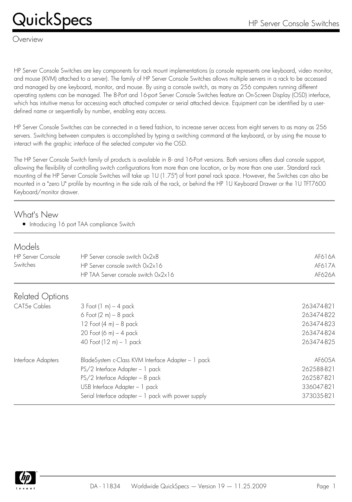## $\mathsf{Quick} \mathsf{Specs} \hspace{1in} \mathsf{HP} \ \mathsf{Server} \ \mathsf{Console} \ \mathsf{Switches}$

#### Overview

HP Server Console Switches are key components for rack mount implementations (a console represents one keyboard, video monitor, and mouse (KVM) attached to a server). The family of HP Server Console Switches allows multiple servers in a rack to be accessed and managed by one keyboard, monitor, and mouse. By using a console switch, as many as 256 computers running different operating systems can be managed. The 8-Port and 16-port Server Console Switches feature an On-Screen Display (OSD) interface, which has intuitive menus for accessing each attached computer or serial attached device. Equipment can be identified by a userdefined name or sequentially by number, enabling easy access.

HP Server Console Switches can be connected in a tiered fashion, to increase server access from eight servers to as many as 256 servers. Switching between computers is accomplished by typing a switching command at the keyboard, or by using the mouse to interact with the graphic interface of the selected computer via the OSD.

The HP Server Console Switch family of products is available in 8- and 16-Port versions. Both versions offers dual console support, allowing the flexibility of controlling switch configurations from more than one location, or by more than one user. Standard rack mounting of the HP Server Console Switches will take up 1U (1.75") of front panel rack space. However, the Switches can also be mounted in a "zero U" profile by mounting in the side rails of the rack, or behind the HP 1U Keyboard Drawer or the 1U TFT7600 Keyboard/monitor drawer.

#### What's New

• Introducing 16 port TAA compliance Switch

#### *Models*

| ,,,,,,,,<br><b>HP Server Console</b><br>Switches | HP Server console switch 0x2x8<br>HP Server console switch 0x2x16<br>HP TAA Server console switch 0x2x16 | AF616A<br>AF617A<br>AF626A |
|--------------------------------------------------|----------------------------------------------------------------------------------------------------------|----------------------------|
| Related Options                                  |                                                                                                          |                            |
| CAT5e Cables                                     | $3$ Foot (1 m) $-$ 4 pack                                                                                | 263474-B21                 |
|                                                  | 6 Foot $(2 m) - 8$ pack                                                                                  | 263474-B22                 |
|                                                  | 12 Foot $(4 \, \text{m}) - 8 \, \text{pack}$                                                             | 263474-B23                 |
|                                                  | 20 Foot (6 m) $-$ 4 pack                                                                                 | 263474-B24                 |
|                                                  | 40 Foot $(12 \text{ m}) - 1$ pack                                                                        | 263474-B25                 |
| Interface Adapters                               | BladeSystem c-Class KVM Interface Adapter - 1 pack                                                       | AF605A                     |
|                                                  | PS/2 Interface Adapter - 1 pack                                                                          | 262588-B21                 |
|                                                  | PS/2 Interface Adapter - 8 pack                                                                          | 262587-B21                 |
|                                                  | USB Interface Adapter - 1 pack                                                                           | 336047-B21                 |
|                                                  | Serial Interface adapter - 1 pack with power supply                                                      | 373035-B21                 |

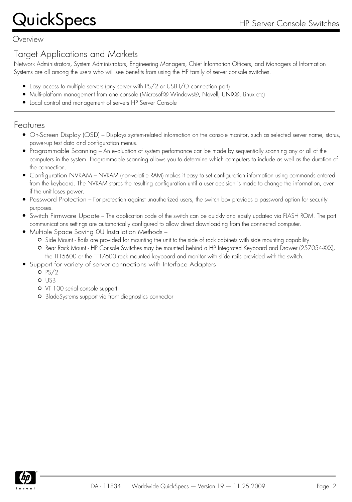Overview

### Target Applications and Markets

Network Administrators, System Administrators, Engineering Managers, Chief Information Officers, and Managers of Information Systems are all among the users who will see benefits from using the HP family of server console switches.

- Easy access to multiple servers (any server with PS/2 or USB I/O connection port)
- Multi-platform management from one console (Microsoft® Windows®, Novell, UNIX®, Linux etc)
- Local control and management of servers HP Server Console

#### Features

- On-Screen Display (OSD) Displays system-related information on the console monitor, such as selected server name, status, power-up test data and configuration menus.
- Programmable Scanning An evaluation of system performance can be made by sequentially scanning any or all of the computers in the system. Programmable scanning allows you to determine which computers to include as well as the duration of the connection.
- Configuration NVRAM NVRAM (non-volatile RAM) makes it easy to set configuration information using commands entered from the keyboard. The NVRAM stores the resulting configuration until a user decision is made to change the information, even if the unit loses power.
- Password Protection For protection against unauthorized users, the switch box provides a password option for security purposes.
- Switch Firmware Update The application code of the switch can be quickly and easily updated via FLASH ROM. The port communications settings are automatically configured to allow direct downloading from the connected computer.
- Multiple Space Saving 0U Installation Methods
	- O Side Mount Rails are provided for mounting the unit to the side of rack cabinets with side mounting capability.
	- O Rear Rack Mount HP Console Switches may be mounted behind a HP Integrated Keyboard and Drawer (257054-XXX), the TFT5600 or the TFT7600 rack mounted keyboard and monitor with slide rails provided with the switch.
- Support for variety of server connections with Interface Adapters
	- $O$  PS/2
	- o USB
	- VT 100 serial console support
	- BladeSystems support via front diagnostics connector

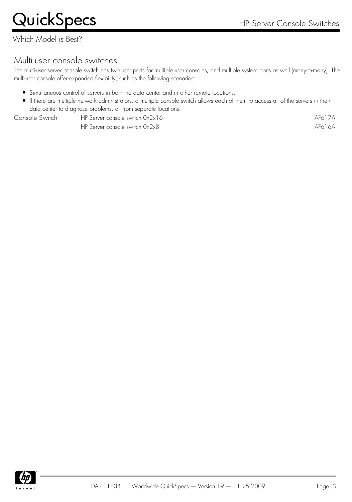Which Model is Best?

## Multi-user console switches

The multi-user server console switch has two user ports for multiple user consoles, and multiple system ports as well (many-to-many). The multi-user console offer expanded flexibility, such as the following scenarios:

- Simultaneous control of servers in both the data center and in other remote locations.
- If there are multiple network administrators, a multiple console switch allows each of them to access all of the servers in their data center to diagnose problems, all from separate locations.

Console Switch HP Server console switch 0x2x16 AF617A

HP Server console switch 0x2x8 AF616A

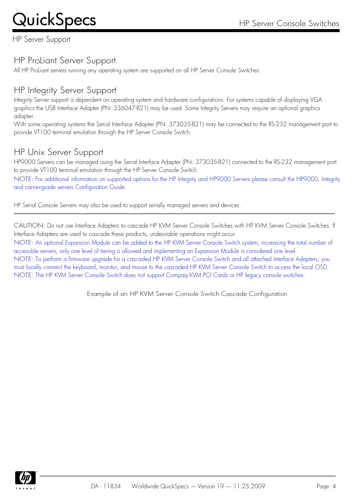HP Server Support

## HP ProLiant Server Support

All HP ProLiant servers running any operating system are supported on all HP Server Console Switches

## HP Integrity Server Support

Integrity Server support is dependent on operating system and hardware configurations. For systems capable of displaying VGA graphics the USB Interface Adapter (PN: 336047-B21) may be used. Some Integrity Servers may require an optional graphics adapter.

With some operating systems the Serial Interface Adapter (PN: 373035-B21) may be connected to the RS-232 management port to provide VT100 terminal emulation through the HP Server Console Switch.

## HP Unix Server Support

HP9000 Servers can be managed using the Serial Interface Adapter (PN: 373035-B21) connected to the RS-232 management port to provide VT100 terminal emulation through the HP Server Console Switch.

NOTE: For additional information on supported options for the HP Integrity and HP9000 Servers please consult the HP9000, Integrity and carrier-grade servers Configuration Guide.

HP Serial Console Servers may also be used to support serially managed servers and devices.

CAUTION: Do not use Interface Adapters to cascade HP KVM Server Console Switches with HP KVM Server Console Switches. If Interface Adapters are used to cascade these products, undesirable operations might occur.

NOTE: An optional Expansion Module can be added to the HP KVM Server Console Switch system, increasing the total number of accessible servers, only one level of tiering is allowed and implementing an Expansion Module is considered one level. NOTE: To perform a firmware upgrade for a cascaded HP KVM Server Console Switch and all attached Interface Adapters; you must locally connect the keyboard, monitor, and mouse to the cascaded HP KVM Server Console Switch to access the local OSD. NOTE: The HP KVM Server Console Switch does not support Compaq KVM PCI Cards or HP legacy console switches.

Example of an HP KVM Server Console Switch Cascade Configuration

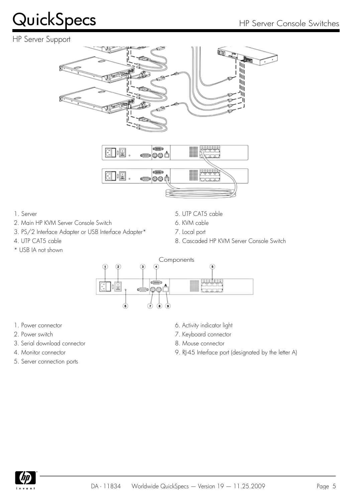#### HP Server Support





- 
- 2. Main HP KVM Server Console Switch 6. KVM cable
- 3. PS/2 Interface Adapter or USB Interface Adapter\* 7. Local port
- 
- \* USB IA not shown
- 1. Server 5. UTP CAT5 cable
	-
	-
- 4. UTP CAT5 cable 6 and the state of the series of the Second HP KVM Server Console Switch



- 
- 
- 3. Serial download connector 8. Mouse connector
- 
- 5. Server connection ports
- 1. Power connector and the connector of the connector of the connector  $6.$  Activity indicator light
- 2. Power switch **7.** Keyboard connector
	-
- 4. Monitor connector **4. Monitor** connector **9. RJ-45** Interface port (designated by the letter A)

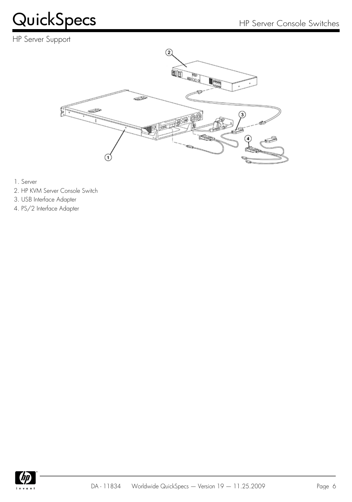### HP Server Support



- 1. Server
- 2. HP KVM Server Console Switch
- 3. USB Interface Adapter
- 4. PS/2 Interface Adapter

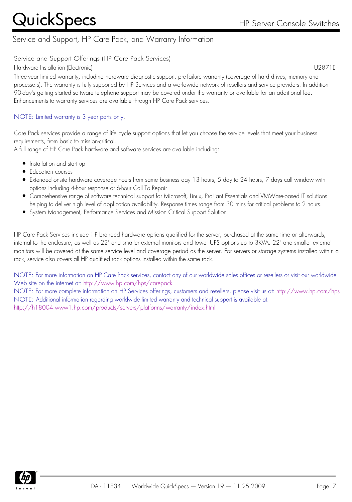### Service and Support, HP Care Pack, and Warranty Information

Service and Support Offerings (HP Care Pack Services)

Hardware Installation (Electronic) U2871E

Three-year limited warranty, including hardware diagnostic support, pre-failure warranty (coverage of hard drives, memory and processors). The warranty is fully supported by HP Services and a worldwide network of resellers and service providers. In addition 90-day's getting started software telephone support may be covered under the warranty or available for an additional fee. Enhancements to warranty services are available through HP Care Pack services.

#### NOTE: Limited warranty is 3 year parts only.

Care Pack services provide a range of life cycle support options that let you choose the service levels that meet your business requirements, from basic to mission-critical.

A full range of HP Care Pack hardware and software services are available including:

- Installation and start up
- Education courses
- Extended onsite hardware coverage hours from same business day 13 hours, 5 day to 24 hours, 7 days call window with options including 4-hour response or 6-hour Call To Repair
- Comprehensive range of software technical support for Microsoft, Linux, ProLiant Essentials and VMWare-based IT solutions helping to deliver high level of application availability. Response times range from 30 mins for critical problems to 2 hours.
- System Management, Performance Services and Mission Critical Support Solution

HP Care Pack Services include HP branded hardware options qualified for the server, purchased at the same time or afterwards, internal to the enclosure, as well as 22" and smaller external monitors and tower UPS options up to 3KVA. 22" and smaller external monitors will be covered at the same service level and coverage period as the server. For servers or storage systems installed within a rack, service also covers all HP qualified rack options installed within the same rack.

NOTE: For more information on HP Care Pack services, contact any of our worldwide sales offices or resellers or visit our worldwide Web site on the internet at: <http://www.hp.com/hps/carepack>

NOTE: For more complete information on HP Services offerings, customers and resellers, please visit us at: <http://www.hp.com/hps> NOTE: Additional information regarding worldwide limited warranty and technical support is available at: <http://h18004.www1.hp.com/products/servers/platforms/warranty/index.html>